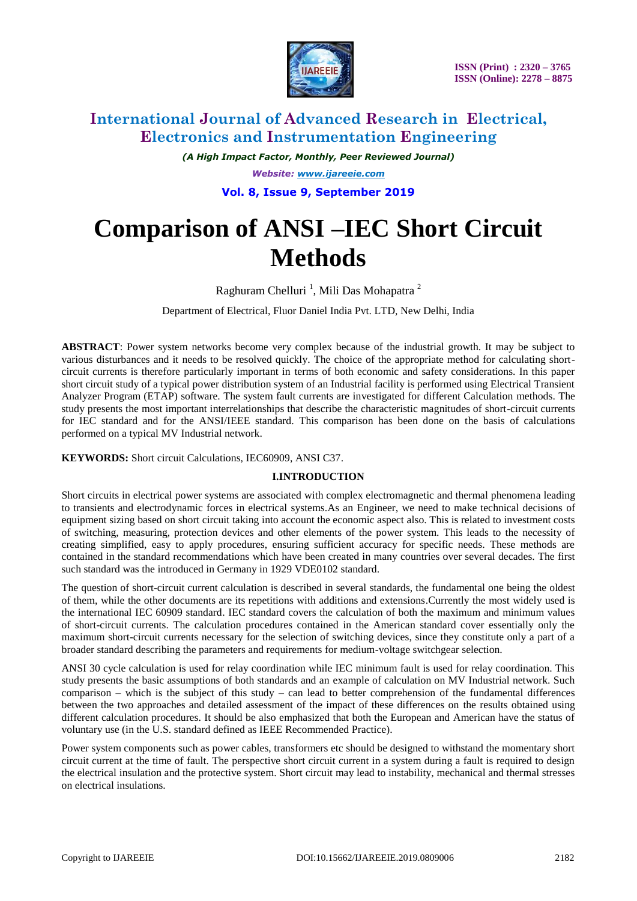

*(A High Impact Factor, Monthly, Peer Reviewed Journal) Website: [www.ijareeie.com](http://www.ijareeie.com/)* **Vol. 8, Issue 9, September 2019**

# **Comparison of ANSI –IEC Short Circuit Methods**

Raghuram Chelluri<sup>1</sup>, Mili Das Mohapatra<sup>2</sup>

Department of Electrical, Fluor Daniel India Pvt. LTD, New Delhi, India

**ABSTRACT**: Power system networks become very complex because of the industrial growth. It may be subject to various disturbances and it needs to be resolved quickly. The choice of the appropriate method for calculating shortcircuit currents is therefore particularly important in terms of both economic and safety considerations. In this paper short circuit study of a typical power distribution system of an Industrial facility is performed using Electrical Transient Analyzer Program (ETAP) software. The system fault currents are investigated for different Calculation methods. The study presents the most important interrelationships that describe the characteristic magnitudes of short-circuit currents for IEC standard and for the ANSI/IEEE standard. This comparison has been done on the basis of calculations performed on a typical MV Industrial network.

### **KEYWORDS:** Short circuit Calculations, IEC60909, ANSI C37.

#### **I.INTRODUCTION**

Short circuits in electrical power systems are associated with complex electromagnetic and thermal phenomena leading to transients and electrodynamic forces in electrical systems.As an Engineer, we need to make technical decisions of equipment sizing based on short circuit taking into account the economic aspect also. This is related to investment costs of switching, measuring, protection devices and other elements of the power system. This leads to the necessity of creating simplified, easy to apply procedures, ensuring sufficient accuracy for specific needs. These methods are contained in the standard recommendations which have been created in many countries over several decades. The first such standard was the introduced in Germany in 1929 VDE0102 standard.

The question of short-circuit current calculation is described in several standards, the fundamental one being the oldest of them, while the other documents are its repetitions with additions and extensions.Currently the most widely used is the international IEC 60909 standard. IEC standard covers the calculation of both the maximum and minimum values of short-circuit currents. The calculation procedures contained in the American standard cover essentially only the maximum short-circuit currents necessary for the selection of switching devices, since they constitute only a part of a broader standard describing the parameters and requirements for medium-voltage switchgear selection.

ANSI 30 cycle calculation is used for relay coordination while IEC minimum fault is used for relay coordination. This study presents the basic assumptions of both standards and an example of calculation on MV Industrial network. Such comparison – which is the subject of this study – can lead to better comprehension of the fundamental differences between the two approaches and detailed assessment of the impact of these differences on the results obtained using different calculation procedures. It should be also emphasized that both the European and American have the status of voluntary use (in the U.S. standard defined as IEEE Recommended Practice).

Power system components such as power cables, transformers etc should be designed to withstand the momentary short circuit current at the time of fault. The perspective short circuit current in a system during a fault is required to design the electrical insulation and the protective system. Short circuit may lead to instability, mechanical and thermal stresses on electrical insulations.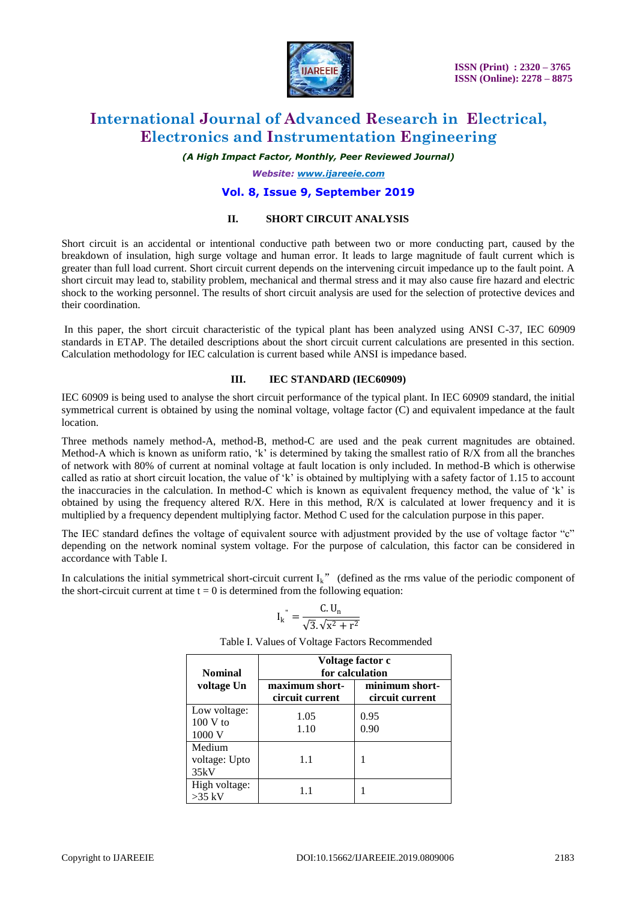

*(A High Impact Factor, Monthly, Peer Reviewed Journal)*

*Website: [www.ijareeie.com](http://www.ijareeie.com/)*

### **Vol. 8, Issue 9, September 2019**

### **II. SHORT CIRCUIT ANALYSIS**

Short circuit is an accidental or intentional conductive path between two or more conducting part, caused by the breakdown of insulation, high surge voltage and human error. It leads to large magnitude of fault current which is greater than full load current. Short circuit current depends on the intervening circuit impedance up to the fault point. A short circuit may lead to, stability problem, mechanical and thermal stress and it may also cause fire hazard and electric shock to the working personnel. The results of short circuit analysis are used for the selection of protective devices and their coordination.

In this paper, the short circuit characteristic of the typical plant has been analyzed using ANSI C-37, IEC 60909 standards in ETAP. The detailed descriptions about the short circuit current calculations are presented in this section. Calculation methodology for IEC calculation is current based while ANSI is impedance based.

#### **III. IEC STANDARD (IEC60909)**

IEC 60909 is being used to analyse the short circuit performance of the typical plant. In IEC 60909 standard, the initial symmetrical current is obtained by using the nominal voltage, voltage factor (C) and equivalent impedance at the fault location.

Three methods namely method-A, method-B, method-C are used and the peak current magnitudes are obtained. Method-A which is known as uniform ratio,  $k$  is determined by taking the smallest ratio of R/X from all the branches of network with 80% of current at nominal voltage at fault location is only included. In method-B which is otherwise called as ratio at short circuit location, the value of "k" is obtained by multiplying with a safety factor of 1.15 to account the inaccuracies in the calculation. In method-C which is known as equivalent frequency method, the value of "k" is obtained by using the frequency altered R/X. Here in this method, R/X is calculated at lower frequency and it is multiplied by a frequency dependent multiplying factor. Method C used for the calculation purpose in this paper.

The IEC standard defines the voltage of equivalent source with adjustment provided by the use of voltage factor "c" depending on the network nominal system voltage. For the purpose of calculation, this factor can be considered in accordance with Table I.

In calculations the initial symmetrical short-circuit current  $I_k$ " (defined as the rms value of the periodic component of the short-circuit current at time  $t = 0$  is determined from the following equation:

$$
I_k^{\prime\prime} = \frac{C.U_n}{\sqrt{3}.\sqrt{x^2 + r^2}}
$$

| <b>Nominal</b>                       | Voltage factor c<br>for calculation |                                   |  |  |
|--------------------------------------|-------------------------------------|-----------------------------------|--|--|
| voltage Un                           | maximum short-<br>circuit current   | minimum short-<br>circuit current |  |  |
| Low voltage:<br>$100 V$ to<br>1000 V | 1.05<br>1.10                        | 0.95<br>0.90                      |  |  |
| Medium<br>voltage: Upto<br>35kV      | 1.1                                 |                                   |  |  |
| High voltage:<br>$>35$ kV            | 1.1                                 |                                   |  |  |

Table I. Values of Voltage Factors Recommended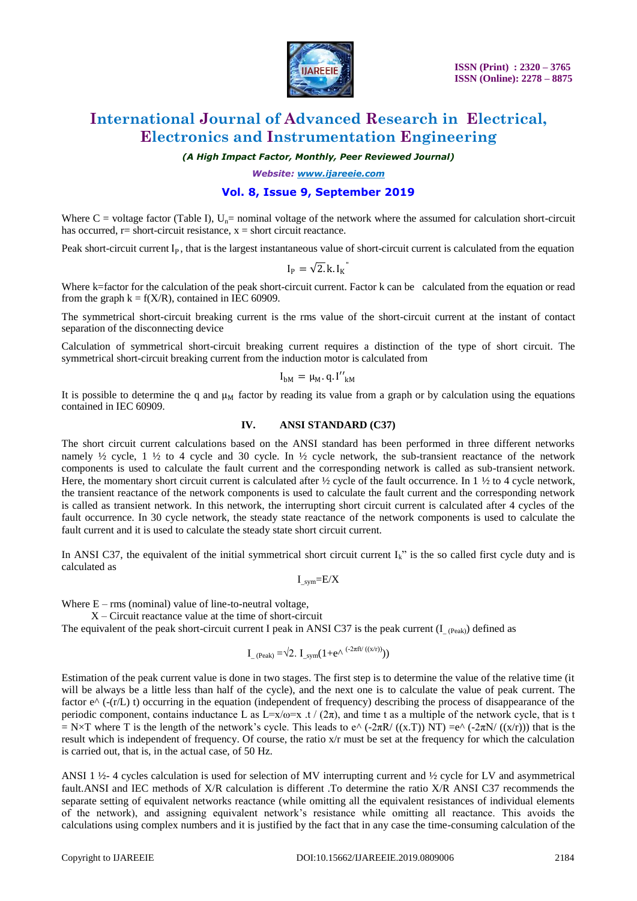

*(A High Impact Factor, Monthly, Peer Reviewed Journal)*

*Website: [www.ijareeie.com](http://www.ijareeie.com/)*

# **Vol. 8, Issue 9, September 2019**

Where  $C =$  voltage factor (Table I),  $U_n =$  nominal voltage of the network where the assumed for calculation short-circuit has occurred,  $r =$  short-circuit resistance,  $x =$  short circuit reactance.

Peak short-circuit current  $I_p$ , that is the largest instantaneous value of short-circuit current is calculated from the equation

$$
I_P = \sqrt{2.} k. I_K
$$

Where k=factor for the calculation of the peak short-circuit current. Factor k can be calculated from the equation or read from the graph  $k = f(X/R)$ , contained in IEC 60909.

The symmetrical short-circuit breaking current is the rms value of the short-circuit current at the instant of contact separation of the disconnecting device

Calculation of symmetrical short-circuit breaking current requires a distinction of the type of short circuit. The symmetrical short-circuit breaking current from the induction motor is calculated from

$$
I_{bM} = \mu_M \cdot q \cdot I''_{kM}
$$

It is possible to determine the q and  $\mu_M$  factor by reading its value from a graph or by calculation using the equations contained in IEC 60909.

#### **IV. ANSI STANDARD (C37)**

The short circuit current calculations based on the ANSI standard has been performed in three different networks namely  $\frac{1}{2}$  cycle, 1  $\frac{1}{2}$  to 4 cycle and 30 cycle. In  $\frac{1}{2}$  cycle network, the sub-transient reactance of the network components is used to calculate the fault current and the corresponding network is called as sub-transient network. Here, the momentary short circuit current is calculated after  $\frac{1}{2}$  cycle of the fault occurrence. In 1  $\frac{1}{2}$  to 4 cycle network, the transient reactance of the network components is used to calculate the fault current and the corresponding network is called as transient network. In this network, the interrupting short circuit current is calculated after 4 cycles of the fault occurrence. In 30 cycle network, the steady state reactance of the network components is used to calculate the fault current and it is used to calculate the steady state short circuit current.

In ANSI C37, the equivalent of the initial symmetrical short circuit current  $I_k^{\prime\prime}$  is the so called first cycle duty and is calculated as

$$
I_{\!\_sym}\!\!=\!E/X
$$

Where  $E - rms$  (nominal) value of line-to-neutral voltage,

 $X -$ Circuit reactance value at the time of short-circuit

The equivalent of the peak short-circuit current I peak in ANSI C37 is the peak current (I  $_{(Peak)}$ ) defined as

$$
I_{\text{eak}} = \sqrt{2}
$$
.  $I_{\text{sym}}(1 + e^{\Lambda ( -2\pi ft / ((x/r))}))$ 

Estimation of the peak current value is done in two stages. The first step is to determine the value of the relative time (it will be always be a little less than half of the cycle), and the next one is to calculate the value of peak current. The factor  $e^{\Lambda}$  (-(r/L) t) occurring in the equation (independent of frequency) describing the process of disappearance of the periodic component, contains inductance L as  $L=x/\omega=x$ .  $t/(2\pi)$ , and time t as a multiple of the network cycle, that is t  $= N \times T$  where T is the length of the network's cycle. This leads to e^ (-2πR/ ((x.T)) NT) =e^ (-2πN/ ((x/r))) that is the result which is independent of frequency. Of course, the ratio x/r must be set at the frequency for which the calculation is carried out, that is, in the actual case, of 50 Hz.

ANSI 1  $\frac{1}{2}$ -4 cycles calculation is used for selection of MV interrupting current and  $\frac{1}{2}$  cycle for LV and asymmetrical fault.ANSI and IEC methods of X/R calculation is different .To determine the ratio X/R ANSI C37 recommends the separate setting of equivalent networks reactance (while omitting all the equivalent resistances of individual elements of the network), and assigning equivalent network"s resistance while omitting all reactance. This avoids the calculations using complex numbers and it is justified by the fact that in any case the time-consuming calculation of the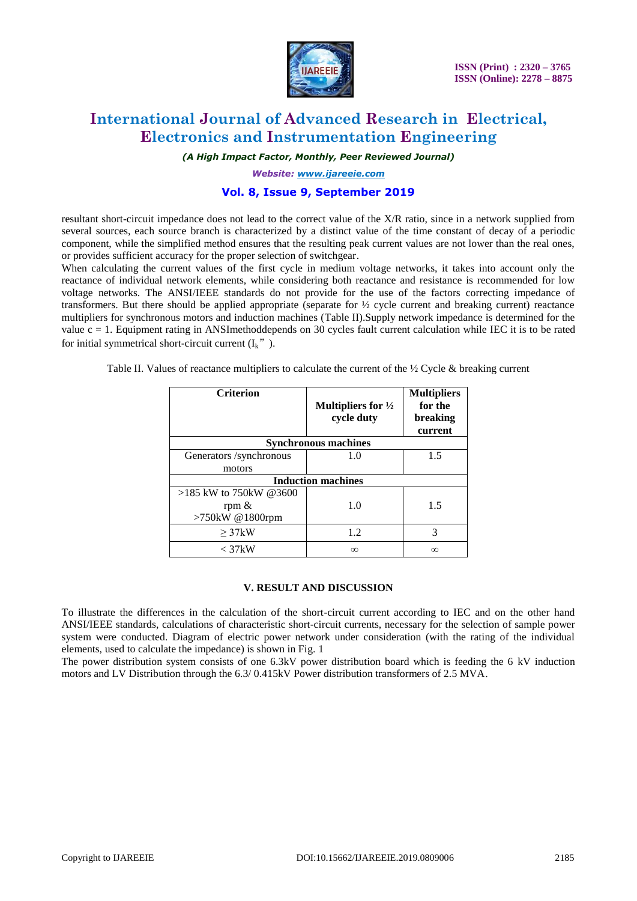

*(A High Impact Factor, Monthly, Peer Reviewed Journal)*

*Website: [www.ijareeie.com](http://www.ijareeie.com/)*

## **Vol. 8, Issue 9, September 2019**

resultant short-circuit impedance does not lead to the correct value of the X/R ratio, since in a network supplied from several sources, each source branch is characterized by a distinct value of the time constant of decay of a periodic component, while the simplified method ensures that the resulting peak current values are not lower than the real ones, or provides sufficient accuracy for the proper selection of switchgear.

When calculating the current values of the first cycle in medium voltage networks, it takes into account only the reactance of individual network elements, while considering both reactance and resistance is recommended for low voltage networks. The ANSI/IEEE standards do not provide for the use of the factors correcting impedance of transformers. But there should be applied appropriate (separate for ½ cycle current and breaking current) reactance multipliers for synchronous motors and induction machines (Table II).Supply network impedance is determined for the value  $c = 1$ . Equipment rating in ANSImethoddepends on 30 cycles fault current calculation while IEC it is to be rated for initial symmetrical short-circuit current  $(I_k$ ").

Table II. Values of reactance multipliers to calculate the current of the  $\frac{1}{2}$  Cycle & breaking current

| <b>Criterion</b>            | Multipliers for $\frac{1}{2}$<br>cycle duty | <b>Multipliers</b><br>for the<br>breaking<br>current |  |  |  |  |
|-----------------------------|---------------------------------------------|------------------------------------------------------|--|--|--|--|
| <b>Synchronous machines</b> |                                             |                                                      |  |  |  |  |
| Generators /synchronous     | 1.0                                         | 1.5                                                  |  |  |  |  |
| motors                      |                                             |                                                      |  |  |  |  |
| <b>Induction machines</b>   |                                             |                                                      |  |  |  |  |
| $>185$ kW to 750kW @3600    |                                             |                                                      |  |  |  |  |
| rpm $\&$                    | 1.0                                         | 1.5                                                  |  |  |  |  |
| >750kW @1800rpm             |                                             |                                                      |  |  |  |  |
| >37kW                       | 1.2                                         | 3                                                    |  |  |  |  |
| $<$ 37 $kW$                 | $\infty$                                    | $\infty$                                             |  |  |  |  |

#### **V. RESULT AND DISCUSSION**

To illustrate the differences in the calculation of the short-circuit current according to IEC and on the other hand ANSI/IEEE standards, calculations of characteristic short-circuit currents, necessary for the selection of sample power system were conducted. Diagram of electric power network under consideration (with the rating of the individual elements, used to calculate the impedance) is shown in Fig. 1

The power distribution system consists of one 6.3kV power distribution board which is feeding the 6 kV induction motors and LV Distribution through the 6.3/ 0.415kV Power distribution transformers of 2.5 MVA.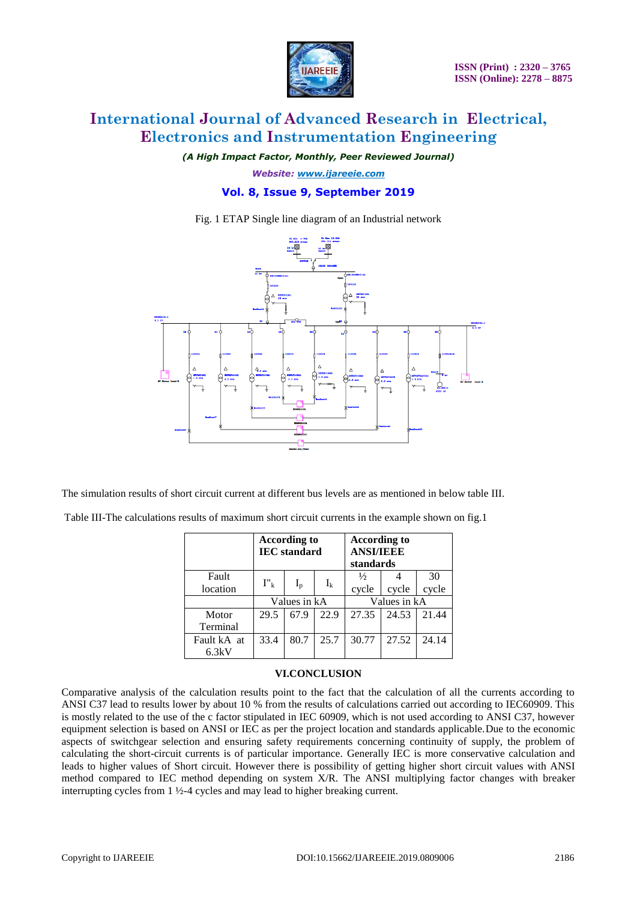

*(A High Impact Factor, Monthly, Peer Reviewed Journal)*

*Website: [www.ijareeie.com](http://www.ijareeie.com/)*

### **Vol. 8, Issue 9, September 2019**

Fig. 1 ETAP Single line diagram of an Industrial network



The simulation results of short circuit current at different bus levels are as mentioned in below table III.

Table III-The calculations results of maximum short circuit currents in the example shown on fig.1

|             | <b>According to</b><br><b>IEC</b> standard |       |       | <b>According to</b><br><b>ANSI/IEEE</b><br>standards |       |       |
|-------------|--------------------------------------------|-------|-------|------------------------------------------------------|-------|-------|
| Fault       | $I''_k$                                    |       |       | $\frac{1}{2}$                                        |       | 30    |
| location    |                                            | $I_p$ | $I_k$ | cycle                                                | cycle | cycle |
|             | Values in kA                               |       |       | Values in kA                                         |       |       |
| Motor       | 29.5                                       | 67.9  | 22.9  | 27.35                                                | 24.53 | 21.44 |
| Terminal    |                                            |       |       |                                                      |       |       |
| Fault kA at | 33.4                                       | 80.7  | 25.7  | 30.77                                                | 27.52 | 24.14 |
| 6.3kV       |                                            |       |       |                                                      |       |       |

### **VI.CONCLUSION**

Comparative analysis of the calculation results point to the fact that the calculation of all the currents according to ANSI C37 lead to results lower by about 10 % from the results of calculations carried out according to IEC60909. This is mostly related to the use of the c factor stipulated in IEC 60909, which is not used according to ANSI C37, however equipment selection is based on ANSI or IEC as per the project location and standards applicable.Due to the economic aspects of switchgear selection and ensuring safety requirements concerning continuity of supply, the problem of calculating the short-circuit currents is of particular importance. Generally IEC is more conservative calculation and leads to higher values of Short circuit. However there is possibility of getting higher short circuit values with ANSI method compared to IEC method depending on system X/R. The ANSI multiplying factor changes with breaker interrupting cycles from 1 ½-4 cycles and may lead to higher breaking current.